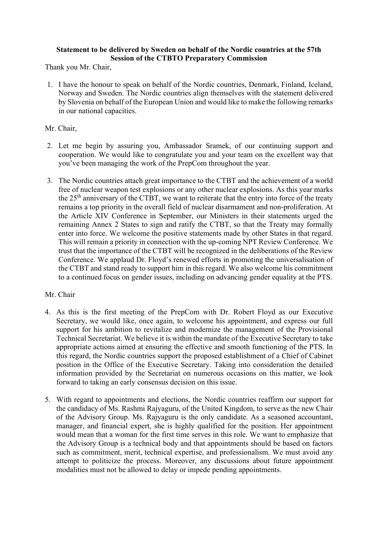## Statement to be delivered by Sweden on behalf of the Nordic countries at the 57th Session of the CTBTO Preparatory Commission

Thank you Mr. Chair,

1. I have the honour to speak on behalf of the Nordic countries, Denmark, Finland, Iceland, Norway and Sweden. The Nordic countries align themselves with the statement delivered by Slovenia on behalf of the European Union and would like to make the following remarks in our national capacities.

## Mr. Chair,

- 2. Let me begin by assuring you, Ambassador Sramek, of our continuing support and cooperation. We would like to congratulate you and your team on the excellent way that you've been managing the work of the PrepCom throughout the year.
- 3. The Nordic countries attach great importance to the CTBT and the achievement of a world free of nuclear weapon test explosions or any other nuclear explosions. As this year marks the 25<sup>th</sup> anniversary of the CTBT, we want to reiterate that the entry into force of the treaty remains a top priority in the overall field of nuclear disarmament and non-proliferation. At the Article XIV Conference in September, our Ministers in their statements urged the remaining Annex 2 States to sign and ratify the CTBT, so that the Treaty may formally enter into force. We welcome the positive statements made by other States in that regard. This will remain a priority in connection with the up-coming NPT Review Conference. We trust that the importance of the CTBT will be recognized in the deliberations of the Review Conference. We applaud Dr. Floyd's renewed efforts in promoting the universalisation of the CTBT and stand ready to support him in this regard. We also welcome his commitment to a continued focus on gender issues, including on advancing gender equality at the PTS.

## Mr. Chair

- 4. As this is the first meeting of the PrepCom with Dr. Robert Floyd as our Executive Secretary, we would like, once again, to welcome his appointment, and express our full support for his ambition to revitalize and modernize the management of the Provisional Technical Secretariat. We believe it is within the mandate of the Executive Secretary to take appropriate actions aimed at ensuring the effective and smooth functioning of the PTS. In this regard, the Nordic countries support the proposed establishment of a Chief of Cabinet position in the Office of the Executive Secretary. Taking into consideration the detailed information provided by the Secretariat on numerous occasions on this matter, we look forward to taking an early consensus decision on this issue.
- 5. With regard to appointments and elections, the Nordic countries reaffirm our support for the candidacy of Ms. Rashmi Rajyaguru, of the United Kingdom, to serve as the new Chair of the Advisory Group. Ms. Rajyaguru is the only candidate. As a seasoned accountant, manager, and financial expert, she is highly qualified for the position. Her appointment would mean that a woman for the first time serves in this role. We want to emphasize that the Advisory Group is a technical body and that appointments should be based on factors such as commitment, merit, technical expertise, and professionalism. We must avoid any attempt to politicize the process. Moreover, any discussions about future appointment modalities must not be allowed to delay or impede pending appointments.